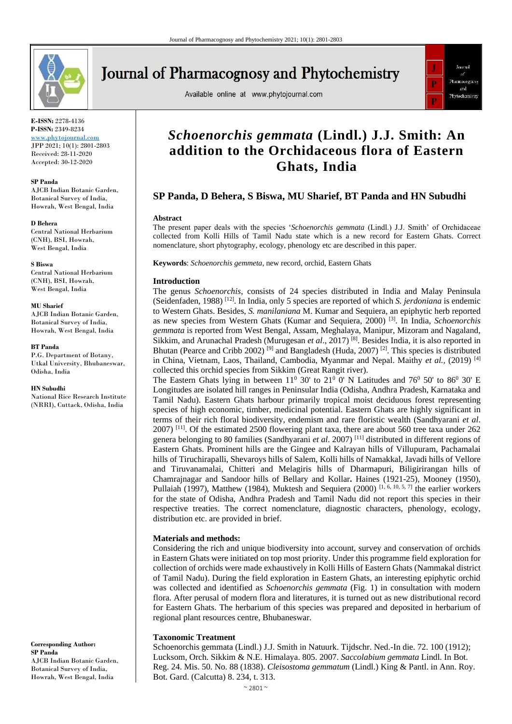

**E-ISSN:** 2278-4136 **P-ISSN:** 2349-8234

[www.phytojournal.com](file:///C:/Users/user/Downloads/www.phytojournal.com) JPP 2021; 10(1): 2801-2803 Received: 28-11-2020 Accepted: 30-12-2020

**SP Panda** AJCB Indian Botanic Garden, Botanical Survey of India, Howrah, West Bengal, India

**D Behera** Central National Herbarium (CNH), BSI, Howrah, West Bengal, India

**S Biswa** Central National Herbarium (CNH), BSI, Howrah, West Bengal, India

#### **MU Sharief**

AJCB Indian Botanic Garden, Botanical Survey of India, Howrah, West Bengal, India

#### **BT Panda**

P.G. Department of Botany, Utkal University, Bhubaneswar, Odisha, India

**HN Subudhi**

National Rice Research Institute (NRRI), Cuttack, Odisha, India

**Corresponding Author: SP Panda** AJCB Indian Botanic Garden, Botanical Survey of India, Howrah, West Bengal, India

# **Journal of Pharmacognosy and Phytochemistry**

Available online at www.phytojournal.com



## *Schoenorchis gemmata* **(Lindl.) J.J. Smith: An addition to the Orchidaceous flora of Eastern Ghats, India**

### **SP Panda, D Behera, S Biswa, MU Sharief, BT Panda and HN Subudhi**

#### **Abstract**

The present paper deals with the species '*Schoenorchis gemmata* (Lindl.) J.J. Smith' of Orchidaceae collected from Kolli Hills of Tamil Nadu state which is a new record for Eastern Ghats. Correct nomenclature, short phytography, ecology, phenology etc are described in this paper.

**Keywords**: *Schoenorchis gemmeta*, new record, orchid, Eastern Ghats

#### **Introduction**

The genus *Schoenorchis*, consists of 24 species distributed in India and Malay Peninsula (Seidenfaden, 1988) [12] . In India, only 5 species are reported of which *S. jerdoniana* is endemic to Western Ghats. Besides, *S. manilaniana* M. Kumar and Sequiera, an epiphytic herb reported as new species from Western Ghats (Kumar and Sequiera, 2000) [3] . In India, *Schoenorchis gemmata* is reported from West Bengal, Assam, Meghalaya, Manipur, Mizoram and Nagaland, Sikkim, and Arunachal Pradesh (Murugesan *et al*., 2017) [8] . Besides India, it is also reported in Bhutan (Pearce and Cribb 2002)<sup>[9]</sup> and Bangladesh (Huda, 2007)<sup>[2]</sup>. This species is distributed in China, Vietnam, Laos, Thailand, Cambodia, Myanmar and Nepal. Maithy *et al.*, (2019)<sup>[4]</sup> collected this orchid species from Sikkim (Great Rangit river).

The Eastern Ghats lying in between  $11^0$  30' to  $21^0$  0' N Latitudes and  $76^0$  50' to  $86^0$  30' E Longitudes are isolated hill ranges in Peninsular India (Odisha, Andhra Pradesh, Karnataka and Tamil Nadu). Eastern Ghats harbour primarily tropical moist deciduous forest representing species of high economic, timber, medicinal potential. Eastern Ghats are highly significant in terms of their rich floral biodiversity, endemism and rare floristic wealth (Sandhyarani *et al*. 2007) [11]. Of the estimated 2500 flowering plant taxa, there are about 560 tree taxa under 262 genera belonging to 80 families (Sandhyarani *et al*. 2007) [11] distributed in different regions of Eastern Ghats. Prominent hills are the Gingee and Kalrayan hills of Villupuram, Pachamalai hills of Tiruchirapalli, Shevaroys hills of Salem, Kolli hills of Namakkal, Javadi hills of Vellore and Tiruvanamalai, Chitteri and Melagiris hills of Dharmapuri, Biligirirangan hills of Chamrajnagar and Sandoor hills of Bellary and Kollar**.** Haines (1921-25), Mooney (1950), Pullaiah (1997), Matthew (1984), Muktesh and Sequiera (2000)  $[1, 6, 10, 5, 7]$  the earlier workers for the state of Odisha, Andhra Pradesh and Tamil Nadu did not report this species in their respective treaties. The correct nomenclature, diagnostic characters, phenology, ecology, distribution etc. are provided in brief.

#### **Materials and methods:**

Considering the rich and unique biodiversity into account, survey and conservation of orchids in Eastern Ghats were initiated on top most priority. Under this programme field exploration for collection of orchids were made exhaustively in Kolli Hills of Eastern Ghats (Nammakal district of Tamil Nadu). During the field exploration in Eastern Ghats, an interesting epiphytic orchid was collected and identified as *Schoenorchis gemmata* (Fig. 1) in consultation with modern flora. After perusal of modern flora and literatures, it is turned out as new distributional record for Eastern Ghats. The herbarium of this species was prepared and deposited in herbarium of regional plant resources centre, Bhubaneswar.

#### **Taxonomic Treatment**

Schoenorchis gemmata (Lindl.) J.J. Smith in Natuurk. Tijdschr. Ned.-In die. 72. 100 (1912); Lucksom, Orch. Sikkim & N.E. Himalaya. 805. 2007. *Saccolabium gemmata* Lindl. In Bot. Reg. 24. Mis. 50. No. 88 (1838). *Cleisostoma gemmatum* (Lindl.) King & Pantl. in Ann. Roy. Bot. Gard. (Calcutta) 8. 234, t. 313.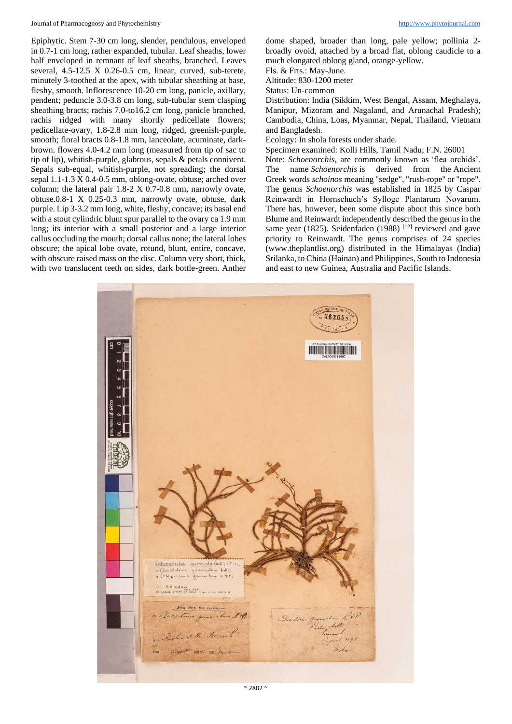#### Journal of Pharmacognosy and Phytochemistry [http://www.phytojournal.com](http://www.phytojournal.com/)

Epiphytic. Stem 7-30 cm long, slender, pendulous, enveloped in 0.7-1 cm long, rather expanded, tubular. Leaf sheaths, lower half enveloped in remnant of leaf sheaths, branched. Leaves several, 4.5-12.5 X 0.26-0.5 cm, linear, curved, sub-terete, minutely 3-toothed at the apex, with tubular sheathing at base, fleshy, smooth. Inflorescence 10-20 cm long, panicle, axillary, pendent; peduncle 3.0-3.8 cm long, sub-tubular stem clasping sheathing bracts; rachis 7.0-to16.2 cm long, panicle branched, rachis ridged with many shortly pedicellate flowers; pedicellate-ovary, 1.8-2.8 mm long, ridged, greenish-purple, smooth; floral bracts 0.8-1.8 mm, lanceolate, acuminate, darkbrown. flowers 4.0-4.2 mm long (measured from tip of sac to tip of lip), whitish-purple, glabrous, sepals & petals connivent. Sepals sub-equal, whitish-purple, not spreading; the dorsal sepal 1.1-1.3 X 0.4-0.5 mm, oblong-ovate, obtuse; arched over column; the lateral pair 1.8-2 X 0.7-0.8 mm, narrowly ovate, obtuse.0.8-1 X 0.25-0.3 mm, narrowly ovate, obtuse, dark purple. Lip 3-3.2 mm long, white, fleshy, concave; its basal end with a stout cylindric blunt spur parallel to the ovary ca 1.9 mm long; its interior with a small posterior and a large interior callus occluding the mouth; dorsal callus none; the lateral lobes obscure; the apical lobe ovate, rotund, blunt, entire, concave, with obscure raised mass on the disc. Column very short, thick, with two translucent teeth on sides, dark bottle-green. Anther dome shaped, broader than long, pale yellow; pollinia 2 broadly ovoid, attached by a broad flat, oblong caudicle to a much elongated oblong gland, orange-yellow.

Fls. & Frts.: May-June.

Altitude: 830-1200 meter

Status: Un-common

Distribution: India (Sikkim, West Bengal, Assam, Meghalaya, Manipur, Mizoram and Nagaland, and Arunachal Pradesh); Cambodia, China, Loas, Myanmar, Nepal, Thailand, Vietnam and Bangladesh.

Ecology: In shola forests under shade.

Specimen examined: Kolli Hills, Tamil Nadu; F.N. 26001

Note: *Schoenorchis*, are commonly known as 'flea orchids'. The name *Schoenorchis* is derived from the Ancient Greek words *schoinos* meaning "sedge", "rush-rope" or "rope". The genus *Schoenorchis* was established in 1825 by Caspar Reinwardt in Hornschuch's Sylloge Plantarum Novarum. There has, however, been some dispute about this since both Blume and Reinwardt independently described the genus in the same year (1825). Seidenfaden (1988)  $[12]$  reviewed and gave priority to Reinwardt. The genus comprises of 24 species (www.theplantlist.org) distributed in the Himalayas (India) Srilanka, to China (Hainan) and Philippines, South to Indonesia and east to new Guinea, Australia and Pacific Islands.